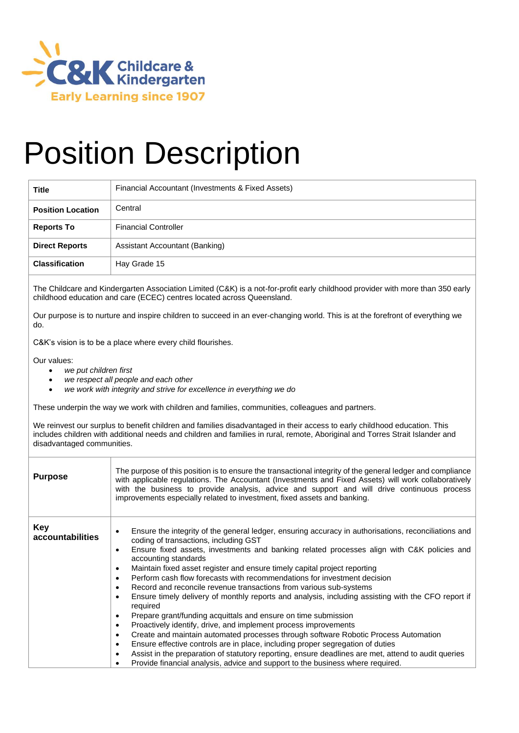

## Position Description

| <b>Title</b>             | Financial Accountant (Investments & Fixed Assets) |
|--------------------------|---------------------------------------------------|
| <b>Position Location</b> | Central                                           |
| <b>Reports To</b>        | <b>Financial Controller</b>                       |
| <b>Direct Reports</b>    | Assistant Accountant (Banking)                    |
| <b>Classification</b>    | Hay Grade 15                                      |

The Childcare and Kindergarten Association Limited (C&K) is a not-for-profit early childhood provider with more than 350 early childhood education and care (ECEC) centres located across Queensland.

Our purpose is to nurture and inspire children to succeed in an ever-changing world. This is at the forefront of everything we do.

C&K's vision is to be a place where every child flourishes.

Our values:

- *we put children first*
- *we respect all people and each other*
- *we work with integrity and strive for excellence in everything we do*

These underpin the way we work with children and families, communities, colleagues and partners.

We reinvest our surplus to benefit children and families disadvantaged in their access to early childhood education. This includes children with additional needs and children and families in rural, remote, Aboriginal and Torres Strait Islander and disadvantaged communities.

| <b>Purpose</b>                 | The purpose of this position is to ensure the transactional integrity of the general ledger and compliance<br>with applicable regulations. The Accountant (Investments and Fixed Assets) will work collaboratively<br>with the business to provide analysis, advice and support and will drive continuous process<br>improvements especially related to investment, fixed assets and banking.                                                                                                                                                                                                                                                                                                                                                                                                                                                                                                                                                                                                                                                                                                                               |
|--------------------------------|-----------------------------------------------------------------------------------------------------------------------------------------------------------------------------------------------------------------------------------------------------------------------------------------------------------------------------------------------------------------------------------------------------------------------------------------------------------------------------------------------------------------------------------------------------------------------------------------------------------------------------------------------------------------------------------------------------------------------------------------------------------------------------------------------------------------------------------------------------------------------------------------------------------------------------------------------------------------------------------------------------------------------------------------------------------------------------------------------------------------------------|
| <b>Key</b><br>accountabilities | Ensure the integrity of the general ledger, ensuring accuracy in authorisations, reconciliations and<br>coding of transactions, including GST<br>Ensure fixed assets, investments and banking related processes align with C&K policies and<br>accounting standards<br>Maintain fixed asset register and ensure timely capital project reporting<br>Perform cash flow forecasts with recommendations for investment decision<br>Record and reconcile revenue transactions from various sub-systems<br>Ensure timely delivery of monthly reports and analysis, including assisting with the CFO report if<br>required<br>Prepare grant/funding acquittals and ensure on time submission<br>Proactively identify, drive, and implement process improvements<br>Create and maintain automated processes through software Robotic Process Automation<br>Ensure effective controls are in place, including proper segregation of duties<br>Assist in the preparation of statutory reporting, ensure deadlines are met, attend to audit queries<br>Provide financial analysis, advice and support to the business where required. |